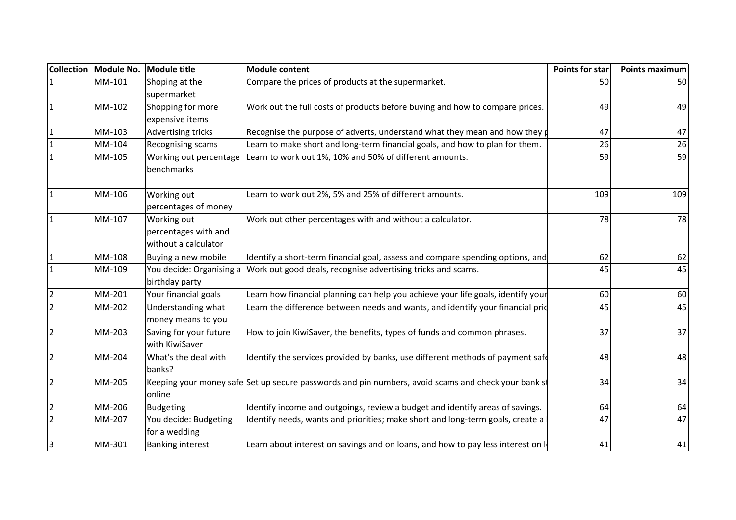| <b>Collection</b> |        | Module No. Module title                                     | <b>Module content</b>                                                                               | Points for star | <b>Points maximum</b> |
|-------------------|--------|-------------------------------------------------------------|-----------------------------------------------------------------------------------------------------|-----------------|-----------------------|
|                   | MM-101 | Shoping at the                                              | Compare the prices of products at the supermarket.                                                  | 50              | 50                    |
|                   |        | supermarket                                                 |                                                                                                     |                 |                       |
|                   | MM-102 | Shopping for more                                           | Work out the full costs of products before buying and how to compare prices.                        | 49              | 49                    |
|                   |        | expensive items                                             |                                                                                                     |                 |                       |
| $\mathbf{1}$      | MM-103 | Advertising tricks                                          | Recognise the purpose of adverts, understand what they mean and how they $\phi$                     | 47              | 47                    |
|                   | MM-104 | Recognising scams                                           | Learn to make short and long-term financial goals, and how to plan for them.                        | 26              | 26                    |
|                   | MM-105 | Working out percentage<br>benchmarks                        | Learn to work out 1%, 10% and 50% of different amounts.                                             | 59              | 59                    |
| $\overline{1}$    | MM-106 | Working out<br>percentages of money                         | Learn to work out 2%, 5% and 25% of different amounts.                                              | 109             | 109                   |
|                   | MM-107 | Working out<br>percentages with and<br>without a calculator | Work out other percentages with and without a calculator.                                           | 78              | 78                    |
|                   | MM-108 | Buying a new mobile                                         | Identify a short-term financial goal, assess and compare spending options, and                      | 62              | 62                    |
|                   | MM-109 | birthday party                                              | You decide: Organising a Work out good deals, recognise advertising tricks and scams.               | 45              | 45                    |
| $\overline{2}$    | MM-201 | Your financial goals                                        | Learn how financial planning can help you achieve your life goals, identify your                    | 60              | 60                    |
| $\overline{2}$    | MM-202 | Understanding what<br>money means to you                    | Learn the difference between needs and wants, and identify your financial prid                      | 45              | 45                    |
| $\overline{2}$    | MM-203 | Saving for your future<br>with KiwiSaver                    | How to join KiwiSaver, the benefits, types of funds and common phrases.                             | 37              | 37                    |
| $\overline{2}$    | MM-204 | What's the deal with<br>banks?                              | Identify the services provided by banks, use different methods of payment safe                      | 48              | 48                    |
| $\overline{2}$    | MM-205 | online                                                      | Keeping your money safe Set up secure passwords and pin numbers, avoid scams and check your bank st | 34              | 34                    |
| $\overline{2}$    | MM-206 | Budgeting                                                   | Identify income and outgoings, review a budget and identify areas of savings.                       | 64              | 64                    |
| $\overline{2}$    | MM-207 | You decide: Budgeting<br>for a wedding                      | Identify needs, wants and priorities; make short and long-term goals, create a                      | 47              | 47                    |
| 3                 | MM-301 | <b>Banking interest</b>                                     | Learn about interest on savings and on loans, and how to pay less interest on le                    | 41              | 41                    |